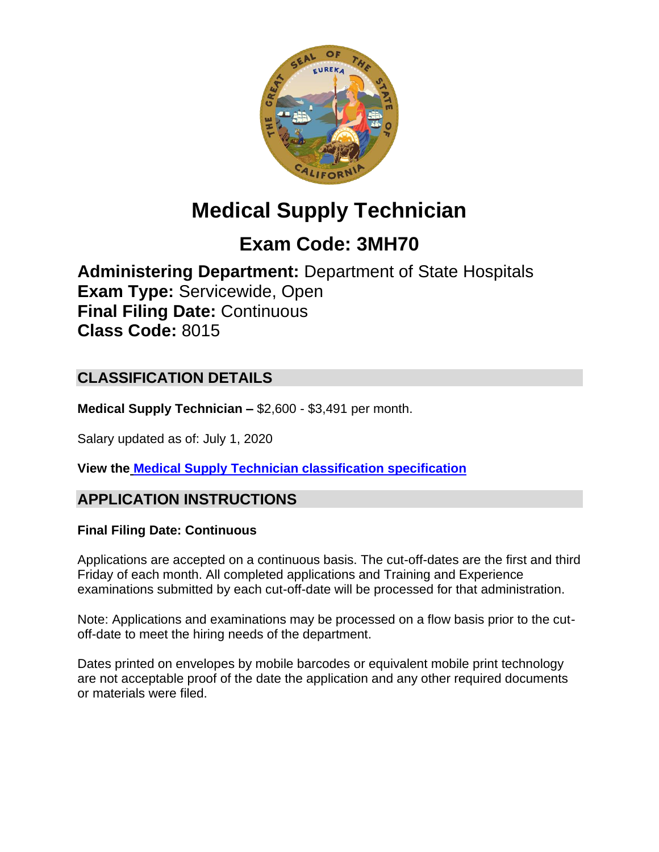

# **Medical Supply Technician**

## **Exam Code: 3MH70**

**Administering Department:** Department of State Hospitals **Exam Type:** Servicewide, Open **Final Filing Date:** Continuous **Class Code:** 8015

## **CLASSIFICATION DETAILS**

**Medical Supply Technician –** \$2,600 - \$3,491 per month.

Salary updated as of: July 1, 2020

**View the [Medical Supply Technician classification specification](https://www.calhr.ca.gov/state-hr-professionals/pages/8015.aspx)**

## **APPLICATION INSTRUCTIONS**

#### **Final Filing Date: Continuous**

Applications are accepted on a continuous basis. The cut-off-dates are the first and third Friday of each month. All completed applications and Training and Experience examinations submitted by each cut-off-date will be processed for that administration.

Note: Applications and examinations may be processed on a flow basis prior to the cutoff-date to meet the hiring needs of the department.

Dates printed on envelopes by mobile barcodes or equivalent mobile print technology are not acceptable proof of the date the application and any other required documents or materials were filed.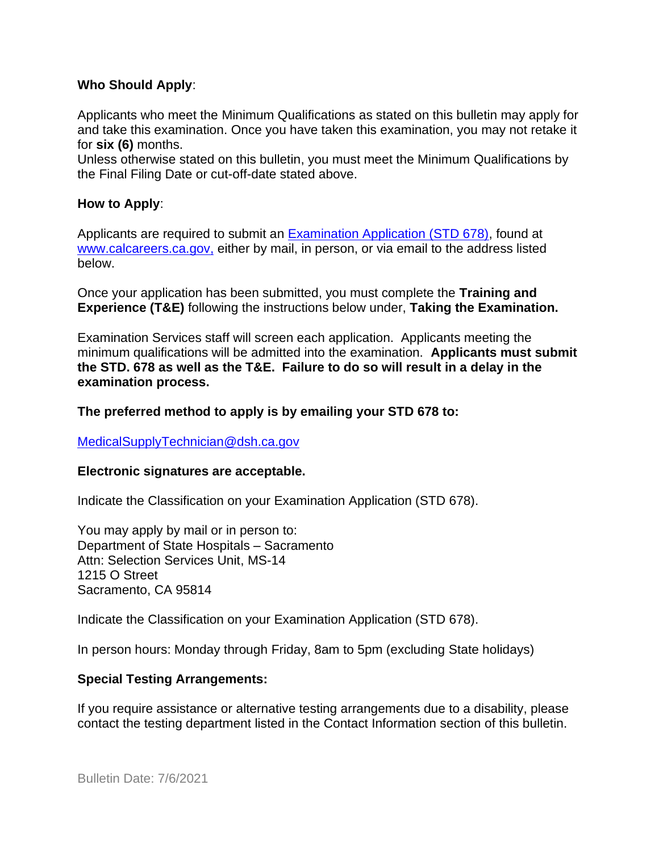#### **Who Should Apply**:

Applicants who meet the Minimum Qualifications as stated on this bulletin may apply for and take this examination. Once you have taken this examination, you may not retake it for **six (6)** months.

Unless otherwise stated on this bulletin, you must meet the Minimum Qualifications by the Final Filing Date or cut-off-date stated above.

#### **How to Apply**:

Applicants are required to submit an [Examination Application \(STD 678\),](https://jobs.ca.gov/pdf/std678.pdf) found at [www.calcareers.ca.gov,](http://www.calcareers.ca.gov/) either by mail, in person, or via email to the address listed below.

Once your application has been submitted, you must complete the **Training and Experience (T&E)** following the instructions below under, **Taking the Examination.**

Examination Services staff will screen each application. Applicants meeting the minimum qualifications will be admitted into the examination. **Applicants must submit the STD. 678 as well as the T&E. Failure to do so will result in a delay in the examination process.**

#### **The preferred method to apply is by emailing your STD 678 to:**

[MedicalSupplyTechnician@dsh.ca.gov](mailto:MedicalSupplyTechnician@dsh.ca.gov)

#### **Electronic signatures are acceptable.**

Indicate the Classification on your Examination Application (STD 678).

You may apply by mail or in person to: Department of State Hospitals – Sacramento Attn: Selection Services Unit, MS-14 1215 O Street Sacramento, CA 95814

Indicate the Classification on your Examination Application (STD 678).

In person hours: Monday through Friday, 8am to 5pm (excluding State holidays)

#### **Special Testing Arrangements:**

If you require assistance or alternative testing arrangements due to a disability, please contact the testing department listed in the Contact Information section of this bulletin.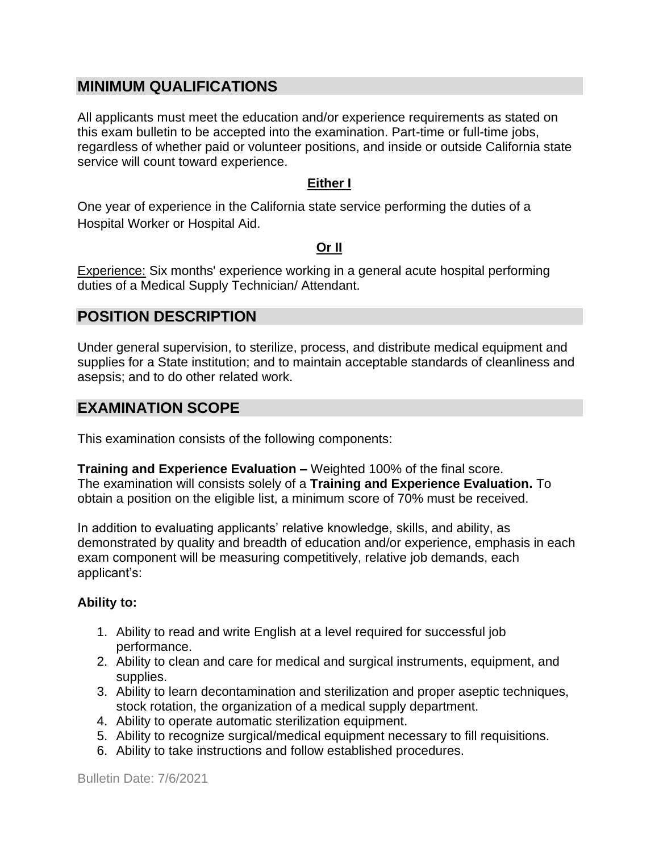## **MINIMUM QUALIFICATIONS**

All applicants must meet the education and/or experience requirements as stated on this exam bulletin to be accepted into the examination. Part-time or full-time jobs, regardless of whether paid or volunteer positions, and inside or outside California state service will count toward experience.

#### **Either I**

One year of experience in the California state service performing the duties of a Hospital Worker or Hospital Aid.

#### **Or II**

Experience: Six months' experience working in a general acute hospital performing duties of a Medical Supply Technician/ Attendant.

## **POSITION DESCRIPTION**

Under general supervision, to sterilize, process, and distribute medical equipment and supplies for a State institution; and to maintain acceptable standards of cleanliness and asepsis; and to do other related work.

## **EXAMINATION SCOPE**

This examination consists of the following components:

**Training and Experience Evaluation –** Weighted 100% of the final score. The examination will consists solely of a **Training and Experience Evaluation.** To obtain a position on the eligible list, a minimum score of 70% must be received.

In addition to evaluating applicants' relative knowledge, skills, and ability, as demonstrated by quality and breadth of education and/or experience, emphasis in each exam component will be measuring competitively, relative job demands, each applicant's:

#### **Ability to:**

- 1. Ability to read and write English at a level required for successful job performance.
- 2. Ability to clean and care for medical and surgical instruments, equipment, and supplies.
- 3. Ability to learn decontamination and sterilization and proper aseptic techniques, stock rotation, the organization of a medical supply department.
- 4. Ability to operate automatic sterilization equipment.
- 5. Ability to recognize surgical/medical equipment necessary to fill requisitions.
- 6. Ability to take instructions and follow established procedures.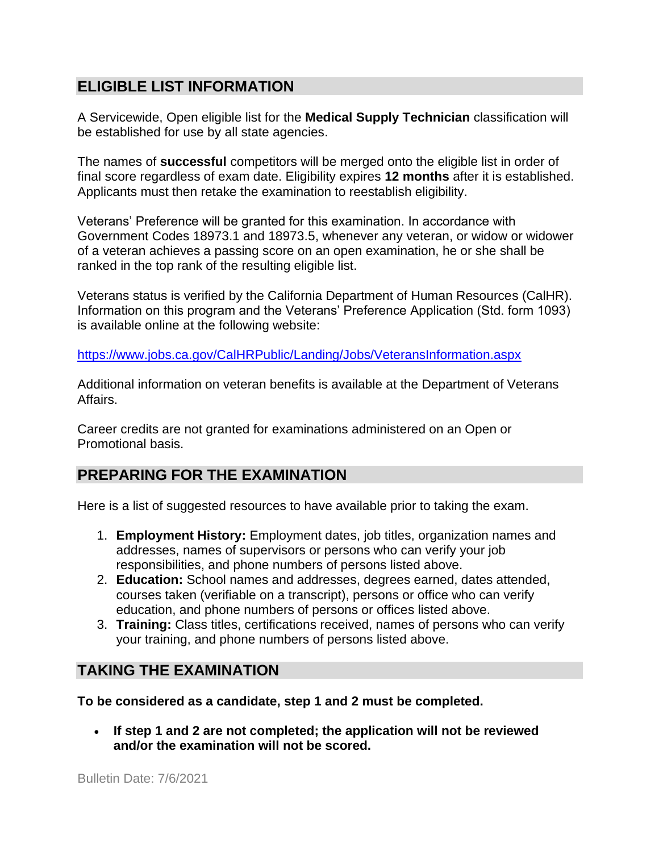## **ELIGIBLE LIST INFORMATION**

A Servicewide, Open eligible list for the **Medical Supply Technician** classification will be established for use by all state agencies.

The names of **successful** competitors will be merged onto the eligible list in order of final score regardless of exam date. Eligibility expires **12 months** after it is established. Applicants must then retake the examination to reestablish eligibility.

Veterans' Preference will be granted for this examination. In accordance with Government Codes 18973.1 and 18973.5, whenever any veteran, or widow or widower of a veteran achieves a passing score on an open examination, he or she shall be ranked in the top rank of the resulting eligible list.

Veterans status is verified by the California Department of Human Resources (CalHR). Information on this program and the Veterans' Preference Application (Std. form 1093) is available online at the following website:

<https://www.jobs.ca.gov/CalHRPublic/Landing/Jobs/VeteransInformation.aspx>

Additional information on veteran benefits is available at the Department of Veterans Affairs.

Career credits are not granted for examinations administered on an Open or Promotional basis.

## **PREPARING FOR THE EXAMINATION**

Here is a list of suggested resources to have available prior to taking the exam.

- 1. **Employment History:** Employment dates, job titles, organization names and addresses, names of supervisors or persons who can verify your job responsibilities, and phone numbers of persons listed above.
- 2. **Education:** School names and addresses, degrees earned, dates attended, courses taken (verifiable on a transcript), persons or office who can verify education, and phone numbers of persons or offices listed above.
- 3. **Training:** Class titles, certifications received, names of persons who can verify your training, and phone numbers of persons listed above.

## **TAKING THE EXAMINATION**

**To be considered as a candidate, step 1 and 2 must be completed.**

• **If step 1 and 2 are not completed; the application will not be reviewed and/or the examination will not be scored.**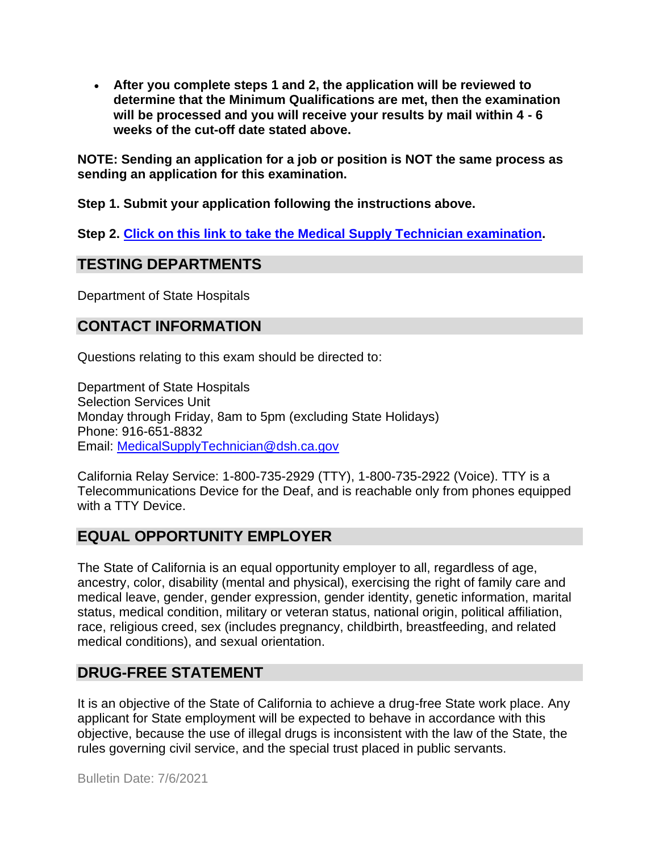• **After you complete steps 1 and 2, the application will be reviewed to determine that the Minimum Qualifications are met, then the examination will be processed and you will receive your results by mail within 4 - 6 weeks of the cut-off date stated above.** 

**NOTE: Sending an application for a job or position is NOT the same process as sending an application for this examination.**

**Step 1. Submit your application following the instructions above.**

**Step 2. [Click on this link to take the Medical Supply Technician](https://www.surveymonkey.com/r/8TCSYYX) examination.**

#### **TESTING DEPARTMENTS**

Department of State Hospitals

## **CONTACT INFORMATION**

Questions relating to this exam should be directed to:

Department of State Hospitals Selection Services Unit Monday through Friday, 8am to 5pm (excluding State Holidays) Phone: 916-651-8832 Email: [MedicalSupplyTechnician@dsh.ca.gov](mailto:MedicalSupplyTechnician@dsh.ca.gov)

California Relay Service: 1-800-735-2929 (TTY), 1-800-735-2922 (Voice). TTY is a Telecommunications Device for the Deaf, and is reachable only from phones equipped with a TTY Device.

## **EQUAL OPPORTUNITY EMPLOYER**

The State of California is an equal opportunity employer to all, regardless of age, ancestry, color, disability (mental and physical), exercising the right of family care and medical leave, gender, gender expression, gender identity, genetic information, marital status, medical condition, military or veteran status, national origin, political affiliation, race, religious creed, sex (includes pregnancy, childbirth, breastfeeding, and related medical conditions), and sexual orientation.

## **DRUG-FREE STATEMENT**

It is an objective of the State of California to achieve a drug-free State work place. Any applicant for State employment will be expected to behave in accordance with this objective, because the use of illegal drugs is inconsistent with the law of the State, the rules governing civil service, and the special trust placed in public servants.